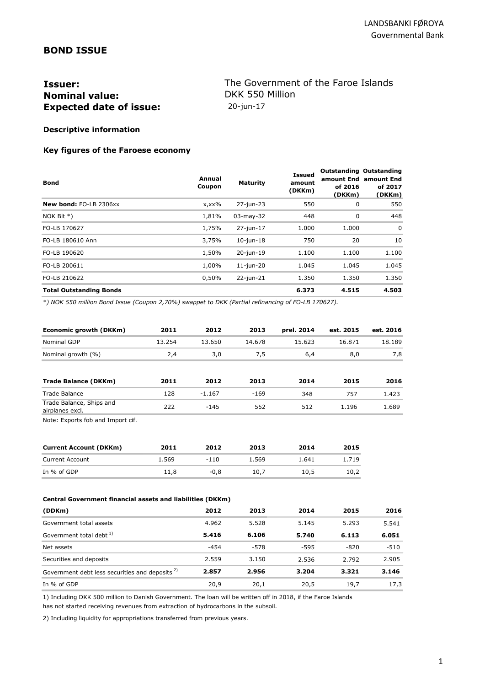## **BOND ISSUE**

# **Issuer: Issuer: The Government of the Faroe Islands**<br> **Nominal value:** DKK 550 Million **Nominal value: Expected date of issue:** 20-jun-17

## **Descriptive information**

#### **Key figures of the Faroese economy**

| Bond                           | Annual<br>Coupon | <b>Maturity</b> | <b>Issued</b><br>amount<br>(DKKm) | <b>Outstanding Outstanding</b><br>amount End<br>of 2016<br>(DKKm) | amount End<br>of 2017<br>(DKKm) |
|--------------------------------|------------------|-----------------|-----------------------------------|-------------------------------------------------------------------|---------------------------------|
| New bond: FO-LB 2306xx         | $x, xx\%$        | 27-jun-23       | 550                               | 0                                                                 | 550                             |
| NOK BIt $*)$                   | 1,81%            | $03$ -may-32    | 448                               | 0                                                                 | 448                             |
| FO-LB 170627                   | 1,75%            | 27-jun-17       | 1.000                             | 1.000                                                             | $\mathbf 0$                     |
| FO-LB 180610 Ann               | 3,75%            | $10$ -jun- $18$ | 750                               | 20                                                                | 10                              |
| FO-LB 190620                   | 1,50%            | 20-jun-19       | 1.100                             | 1.100                                                             | 1.100                           |
| FO-LB 200611                   | 1,00%            | $11$ -jun-20    | 1.045                             | 1.045                                                             | 1.045                           |
| FO-LB 210622                   | 0,50%            | $22$ -jun- $21$ | 1.350                             | 1.350                                                             | 1.350                           |
| <b>Total Outstanding Bonds</b> |                  |                 | 6.373                             | 4.515                                                             | 4.503                           |

*\*) NOK 550 million Bond Issue (Coupon 2,70%) swappet to DKK (Partial refinancing of FO-LB 170627).*

| Economic growth (DKKm)                      | 2011   | 2012     | 2013   | prel. 2014 | est. 2015 | est. 2016 |
|---------------------------------------------|--------|----------|--------|------------|-----------|-----------|
| Nominal GDP                                 | 13.254 | 13.650   | 14.678 | 15.623     | 16.871    | 18.189    |
| Nominal growth (%)                          | 2,4    | 3,0      | 7,5    | 6,4        | 8,0       | 7,8       |
| Trade Balance (DKKm)                        | 2011   | 2012     | 2013   | 2014       | 2015      | 2016      |
| Trade Balance                               | 128    | $-1.167$ | $-169$ | 348        | 757       | 1.423     |
| Trade Balance, Ships and<br>airplanes excl. | 222    | $-145$   | 552    | 512        | 1.196     | 1.689     |

Note: Exports fob and Import cif.

| <b>Current Account (DKKm)</b> | 2011  | 2012   | 2013  | 2014  | 2015  |
|-------------------------------|-------|--------|-------|-------|-------|
| <b>Current Account</b>        | 1.569 | $-110$ | 1.569 | 1.641 | 1.719 |
| In % of GDP                   | 11.8  | -0.8   | 10.7  | 10.5  | 10.2  |

#### **Central Government financial assets and liabilities (DKKm)**

| (DDKm)                                                     | 2012  | 2013   | 2014   | 2015   | 2016   |
|------------------------------------------------------------|-------|--------|--------|--------|--------|
| Government total assets                                    | 4.962 | 5.528  | 5.145  | 5.293  | 5.541  |
| Government total debt <sup>1)</sup>                        | 5.416 | 6.106  | 5.740  | 6.113  | 6.051  |
| Net assets                                                 | -454  | $-578$ | $-595$ | $-820$ | $-510$ |
| Securities and deposits                                    | 2.559 | 3.150  | 2.536  | 2.792  | 2.905  |
| Government debt less securities and deposits <sup>2)</sup> | 2.857 | 2.956  | 3.204  | 3.321  | 3.146  |
| In % of GDP                                                | 20.9  | 20.1   | 20.5   | 19.7   | 17,3   |

1) Including DKK 500 million to Danish Government. The loan will be written off in 2018, if the Faroe Islands has not started receiving revenues from extraction of hydrocarbons in the subsoil.

2) Including liquidity for appropriations transferred from previous years.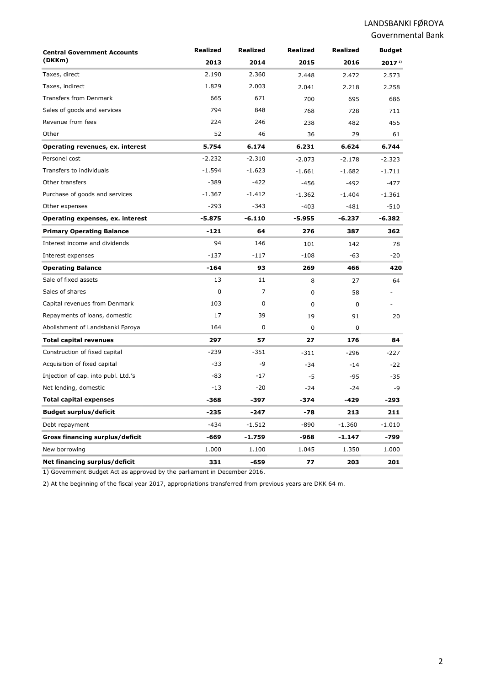| <b>Central Government Accounts</b><br>(DKKm) | <b>Realized</b> | Realized       | <b>Realized</b> | Realized | <b>Budget</b>     |
|----------------------------------------------|-----------------|----------------|-----------------|----------|-------------------|
|                                              | 2013            | 2014           | 2015            | 2016     | 2017 <sup>1</sup> |
| Taxes, direct                                | 2.190           | 2.360          | 2.448           | 2.472    | 2.573             |
| Taxes, indirect                              | 1.829           | 2.003          | 2.041           | 2.218    | 2.258             |
| <b>Transfers from Denmark</b>                | 665             | 671            | 700             | 695      | 686               |
| Sales of goods and services                  | 794             | 848            | 768             | 728      | 711               |
| Revenue from fees                            | 224             | 246            | 238             | 482      | 455               |
| Other                                        | 52              | 46             | 36              | 29       | 61                |
| Operating revenues, ex. interest             | 5.754           | 6.174          | 6.231           | 6.624    | 6.744             |
| Personel cost                                | $-2.232$        | $-2.310$       | $-2.073$        | $-2.178$ | $-2.323$          |
| Transfers to individuals                     | $-1.594$        | $-1.623$       | $-1.661$        | $-1.682$ | $-1.711$          |
| Other transfers                              | $-389$          | $-422$         | $-456$          | $-492$   | $-477$            |
| Purchase of goods and services               | $-1.367$        | $-1.412$       | $-1.362$        | $-1.404$ | $-1.361$          |
| Other expenses                               | $-293$          | $-343$         | $-403$          | $-481$   | $-510$            |
| Operating expenses, ex. interest             | $-5.875$        | $-6.110$       | $-5.955$        | $-6.237$ | $-6.382$          |
| <b>Primary Operating Balance</b>             | $-121$          | 64             | 276             | 387      | 362               |
| Interest income and dividends                | 94              | 146            | 101             | 142      | 78                |
| Interest expenses                            | $-137$          | $-117$         | $-108$          | $-63$    | $-20$             |
| <b>Operating Balance</b>                     | -164            | 93             | 269             | 466      | 420               |
| Sale of fixed assets                         | 13              | 11             | 8               | 27       | 64                |
| Sales of shares                              | $\mathbf 0$     | $\overline{7}$ | $\mathbf 0$     | 58       |                   |
| Capital revenues from Denmark                | 103             | $\mathbf 0$    | $\mathbf 0$     | 0        |                   |
| Repayments of loans, domestic                | 17              | 39             | 19              | 91       | 20                |
| Abolishment of Landsbanki Føroya             | 164             | $\mathbf 0$    | $\mathbf 0$     | 0        |                   |
| <b>Total capital revenues</b>                | 297             | 57             | 27              | 176      | 84                |
| Construction of fixed capital                | $-239$          | $-351$         | $-311$          | $-296$   | $-227$            |
| Acquisition of fixed capital                 | $-33$           | -9             | $-34$           | $-14$    | $-22$             |
| Injection of cap. into publ. Ltd.'s          | $-83$           | $-17$          | -5              | $-95$    | -35               |
| Net lending, domestic                        | $-13$           | $-20$          | $-24$           | $-24$    | -9                |
| <b>Total capital expenses</b>                | -368            | -397           | -374            | -429     | -293              |
| <b>Budget surplus/deficit</b>                | $-235$          | -247           | $-78$           | 213      | 211               |
| Debt repayment                               | $-434$          | $-1.512$       | $-890$          | $-1.360$ | $-1.010$          |
| Gross financing surplus/deficit              | -669            | $-1.759$       | -968            | $-1.147$ | -799              |
| New borrowing                                | 1.000           | 1.100          | 1.045           | 1.350    | 1.000             |
| Net financing surplus/deficit                | 331             | -659           | 77              | 203      | 201               |

1) Government Budget Act as approved by the parliament in December 2016.

2) At the beginning of the fiscal year 2017, appropriations transferred from previous years are DKK 64 m.